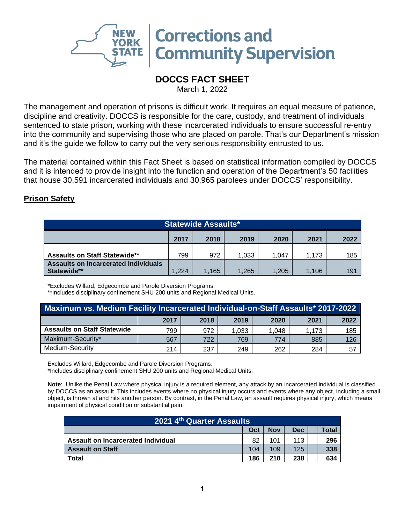

## **DOCCS FACT SHEET**

March 1, 2022

The management and operation of prisons is difficult work. It requires an equal measure of patience, discipline and creativity. DOCCS is responsible for the care, custody, and treatment of individuals sentenced to state prison, working with these incarcerated individuals to ensure successful re-entry into the community and supervising those who are placed on parole. That's our Department's mission and it's the guide we follow to carry out the very serious responsibility entrusted to us.

The material contained within this Fact Sheet is based on statistical information compiled by DOCCS and it is intended to provide insight into the function and operation of the Department's 50 facilities that house 30,591 incarcerated individuals and 30,965 parolees under DOCCS' responsibility.

## **Prison Safety**

| <b>Statewide Assaults*</b>                                 |      |       |       |       |       |     |  |
|------------------------------------------------------------|------|-------|-------|-------|-------|-----|--|
| 2017<br>2018<br>2019<br>2020<br>2021<br>2022               |      |       |       |       |       |     |  |
| <b>Assaults on Staff Statewide**</b>                       | 799  | 972   | 1.033 | 1.047 | 1.173 | 185 |  |
| <b>Assaults on Incarcerated Individuals</b><br>Statewide** | .224 | 1,165 | .265  | 1.205 | 1.106 | 19' |  |

\*Excludes Willard, Edgecombe and Parole Diversion Programs.

\*\*Includes disciplinary confinement SHU 200 units and Regional Medical Units.

| Maximum vs. Medium Facility Incarcerated Individual-on-Staff Assaults* 2017-2022 |      |      |       |       |       |      |  |
|----------------------------------------------------------------------------------|------|------|-------|-------|-------|------|--|
|                                                                                  | 2017 | 2018 | 2019  | 2020  | 2021  | 2022 |  |
| <b>Assaults on Staff Statewide</b>                                               | 799  | 972  | 1,033 | 1.048 | 1.173 | 185  |  |
| Maximum-Security*                                                                | 567  | 722  | 769   | 774   | 885   | 126  |  |
| Medium-Security                                                                  | 214  | 237  | 249   | 262   | 284   | 57   |  |

Excludes Willard, Edgecombe and Parole Diversion Programs.

\*Includes disciplinary confinement SHU 200 units and Regional Medical Units.

**Note**: Unlike the Penal Law where physical injury is a required element, any attack by an incarcerated individual is classified by DOCCS as an assault. This includes events where no physical injury occurs and events where any object, including a small object, is thrown at and hits another person. By contrast, in the Penal Law, an assault requires physical injury, which means impairment of physical condition or substantial pain.

| 2021 4th Quarter Assaults          |     |            |            |  |       |  |  |
|------------------------------------|-----|------------|------------|--|-------|--|--|
|                                    | Oct | <b>Nov</b> | <b>Dec</b> |  | Total |  |  |
| Assault on Incarcerated Individual | 82  | 101        | 113        |  | 296   |  |  |
| <b>Assault on Staff</b>            | 104 | 109        | 125        |  | 338   |  |  |
| Total                              | 186 | 210        | 238        |  | 634   |  |  |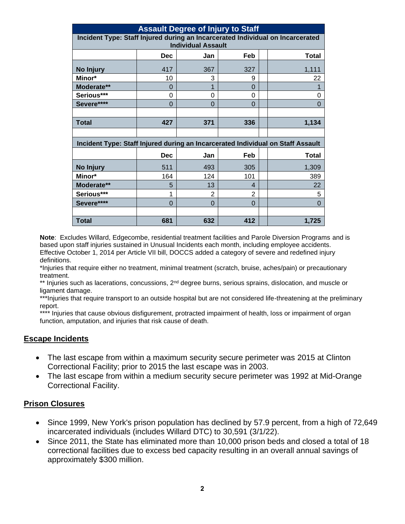| <b>Assault Degree of Injury to Staff</b>                                       |                           |          |          |                                                                                 |  |  |  |  |
|--------------------------------------------------------------------------------|---------------------------|----------|----------|---------------------------------------------------------------------------------|--|--|--|--|
| Incident Type: Staff Injured during an Incarcerated Individual on Incarcerated |                           |          |          |                                                                                 |  |  |  |  |
|                                                                                | <b>Individual Assault</b> |          |          |                                                                                 |  |  |  |  |
|                                                                                | <b>Dec</b>                | Jan      | Feb      | <b>Total</b>                                                                    |  |  |  |  |
| No Injury                                                                      | 417                       | 367      | 327      | 1,111                                                                           |  |  |  |  |
| Minor*                                                                         | 10                        | 3        | 9        | 22                                                                              |  |  |  |  |
| Moderate**                                                                     | 0                         |          | 0        |                                                                                 |  |  |  |  |
| Serious***                                                                     | 0                         | $\Omega$ | $\Omega$ | 0                                                                               |  |  |  |  |
| Severe****                                                                     | $\Omega$                  | $\Omega$ | $\Omega$ | $\overline{0}$                                                                  |  |  |  |  |
|                                                                                |                           |          |          |                                                                                 |  |  |  |  |
| <b>Total</b>                                                                   | 427                       | 371      | 336      | 1,134                                                                           |  |  |  |  |
|                                                                                |                           |          |          |                                                                                 |  |  |  |  |
|                                                                                |                           |          |          | Incident Type: Staff Injured during an Incarcerated Individual on Staff Assault |  |  |  |  |
|                                                                                | <b>Dec</b>                | Jan      | Feb      | <b>Total</b>                                                                    |  |  |  |  |
| No Injury                                                                      | 511                       | 493      | 305      | 1,309                                                                           |  |  |  |  |
| Minor*                                                                         | 164                       | 124      | 101      | 389                                                                             |  |  |  |  |
| Moderate**                                                                     | 5                         | 13       | 4        | 22                                                                              |  |  |  |  |
| Serious***                                                                     | 1                         | 2        | 2        | 5                                                                               |  |  |  |  |
| Severe****                                                                     | $\Omega$                  | $\Omega$ | $\Omega$ | $\Omega$                                                                        |  |  |  |  |
|                                                                                |                           |          |          |                                                                                 |  |  |  |  |
| <b>Total</b>                                                                   | 681                       | 632      | 412      | 1,725                                                                           |  |  |  |  |

**Note**: Excludes Willard, Edgecombe, residential treatment facilities and Parole Diversion Programs and is based upon staff injuries sustained in Unusual Incidents each month, including employee accidents. Effective October 1, 2014 per Article VII bill, DOCCS added a category of severe and redefined injury definitions.

\*Injuries that require either no treatment, minimal treatment (scratch, bruise, aches/pain) or precautionary treatment.

\*\* Injuries such as lacerations, concussions, 2<sup>nd</sup> degree burns, serious sprains, dislocation, and muscle or ligament damage.

\*\*\*Injuries that require transport to an outside hospital but are not considered life-threatening at the preliminary report.

\*\*\*\* Injuries that cause obvious disfigurement, protracted impairment of health, loss or impairment of organ function, amputation, and injuries that risk cause of death.

## **Escape Incidents**

- The last escape from within a maximum security secure perimeter was 2015 at Clinton Correctional Facility; prior to 2015 the last escape was in 2003.
- The last escape from within a medium security secure perimeter was 1992 at Mid-Orange Correctional Facility.

## **Prison Closures**

- Since 1999, New York's prison population has declined by 57.9 percent, from a high of 72,649 incarcerated individuals (includes Willard DTC) to 30,591 (3/1/22).
- Since 2011, the State has eliminated more than 10,000 prison beds and closed a total of 18 correctional facilities due to excess bed capacity resulting in an overall annual savings of approximately \$300 million.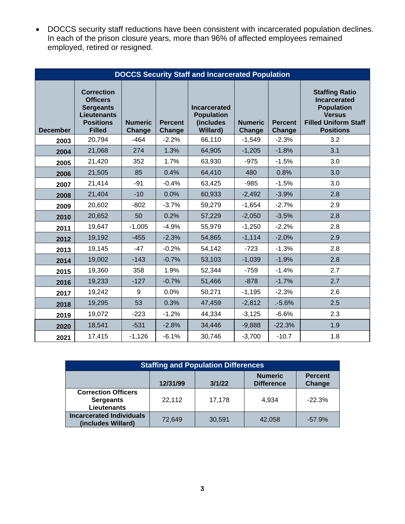• DOCCS security staff reductions have been consistent with incarcerated population declines. In each of the prison closure years, more than 96% of affected employees remained employed, retired or resigned.

|                 | <b>DOCCS Security Staff and Incarcerated Population</b>                                                             |                          |                                 |                                                                          |                          |                          |                                                                                                                                       |  |  |
|-----------------|---------------------------------------------------------------------------------------------------------------------|--------------------------|---------------------------------|--------------------------------------------------------------------------|--------------------------|--------------------------|---------------------------------------------------------------------------------------------------------------------------------------|--|--|
| <b>December</b> | <b>Correction</b><br><b>Officers</b><br><b>Sergeants</b><br><b>Lieutenants</b><br><b>Positions</b><br><b>Filled</b> | <b>Numeric</b><br>Change | <b>Percent</b><br><b>Change</b> | <b>Incarcerated</b><br><b>Population</b><br>(includes<br><b>Willard)</b> | <b>Numeric</b><br>Change | <b>Percent</b><br>Change | <b>Staffing Ratio</b><br><b>Incarcerated</b><br><b>Population</b><br><b>Versus</b><br><b>Filled Uniform Staff</b><br><b>Positions</b> |  |  |
| 2003            | 20,794                                                                                                              | $-464$                   | $-2.2%$                         | 66,110                                                                   | $-1,549$                 | $-2.3%$                  | 3.2                                                                                                                                   |  |  |
| 2004            | 21,068                                                                                                              | 274                      | 1.3%                            | 64,905                                                                   | $-1,205$                 | $-1.8%$                  | 3.1                                                                                                                                   |  |  |
| 2005            | 21,420                                                                                                              | 352                      | 1.7%                            | 63,930                                                                   | $-975$                   | $-1.5%$                  | 3.0                                                                                                                                   |  |  |
| 2006            | 21,505                                                                                                              | 85                       | 0.4%                            | 64,410                                                                   | 480                      | 0.8%                     | 3.0                                                                                                                                   |  |  |
| 2007            | 21,414                                                                                                              | $-91$                    | $-0.4%$                         | 63,425                                                                   | $-985$                   | $-1.5%$                  | 3.0                                                                                                                                   |  |  |
| 2008            | 21,404                                                                                                              | $-10$                    | 0.0%                            | 60,933                                                                   | $-2,492$                 | $-3.9%$                  | 2.8                                                                                                                                   |  |  |
| 2009            | 20,602                                                                                                              | $-802$                   | $-3.7%$                         | 59,279                                                                   | $-1,654$                 | $-2.7%$                  | 2.9                                                                                                                                   |  |  |
| 2010            | 20,652                                                                                                              | 50                       | 0.2%                            | 57,229                                                                   | $-2,050$                 | $-3.5%$                  | 2.8                                                                                                                                   |  |  |
| 2011            | 19,647                                                                                                              | $-1,005$                 | $-4.9%$                         | 55,979                                                                   | $-1,250$                 | $-2.2%$                  | 2.8                                                                                                                                   |  |  |
| 2012            | 19,192                                                                                                              | $-455$                   | $-2.3%$                         | 54,865                                                                   | $-1,114$                 | $-2.0%$                  | 2.9                                                                                                                                   |  |  |
| 2013            | 19,145                                                                                                              | $-47$                    | $-0.2%$                         | 54,142                                                                   | $-723$                   | $-1.3%$                  | 2.8                                                                                                                                   |  |  |
| 2014            | 19,002                                                                                                              | $-143$                   | $-0.7%$                         | 53,103                                                                   | $-1,039$                 | $-1.9%$                  | 2.8                                                                                                                                   |  |  |
| 2015            | 19,360                                                                                                              | 358                      | 1.9%                            | 52,344                                                                   | $-759$                   | $-1.4%$                  | 2.7                                                                                                                                   |  |  |
| 2016            | 19,233                                                                                                              | $-127$                   | $-0.7%$                         | 51,466                                                                   | $-878$                   | $-1.7%$                  | 2.7                                                                                                                                   |  |  |
| 2017            | 19,242                                                                                                              | 9                        | 0.0%                            | 50,271                                                                   | $-1,195$                 | $-2.3%$                  | 2.6                                                                                                                                   |  |  |
| 2018            | 19,295                                                                                                              | 53                       | 0.3%                            | 47,459                                                                   | $-2,812$                 | .5.6%                    | 2.5                                                                                                                                   |  |  |
| 2019            | 19,072                                                                                                              | $-223$                   | $-1.2%$                         | 44,334                                                                   | $-3,125$                 | $-6.6%$                  | 2.3                                                                                                                                   |  |  |
| 2020            | 18,541                                                                                                              | $-531$                   | $-2.8%$                         | 34,446                                                                   | $-9,888$                 | $-22.3%$                 | 1.9                                                                                                                                   |  |  |
| 2021            | 17,415                                                                                                              | $-1,126$                 | $-6.1%$                         | 30,746                                                                   | $-3,700$                 | $-10.7$                  | 1.8                                                                                                                                   |  |  |

| <b>Staffing and Population Differences</b>                           |          |        |                                     |                          |  |  |  |  |
|----------------------------------------------------------------------|----------|--------|-------------------------------------|--------------------------|--|--|--|--|
|                                                                      | 12/31/99 | 3/1/22 | <b>Numeric</b><br><b>Difference</b> | <b>Percent</b><br>Change |  |  |  |  |
| <b>Correction Officers</b><br><b>Sergeants</b><br><b>Lieutenants</b> | 22,112   | 17,178 | 4.934                               | $-22.3%$                 |  |  |  |  |
| <b>Incarcerated Individuals</b><br>(includes Willard)                | 72.649   | 30,591 | 42.058                              | $-57.9%$                 |  |  |  |  |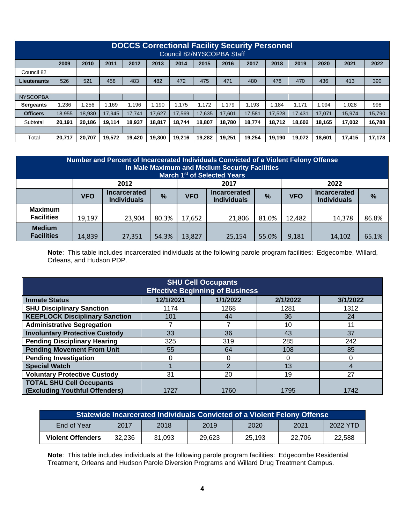|                    | <b>DOCCS Correctional Facility Security Personnel</b><br>Council 82/NYSCOPBA Staff |        |        |        |        |        |        |        |        |        |        |        |        |        |
|--------------------|------------------------------------------------------------------------------------|--------|--------|--------|--------|--------|--------|--------|--------|--------|--------|--------|--------|--------|
|                    | 2009                                                                               | 2010   | 2011   | 2012   | 2013   | 2014   | 2015   | 2016   | 2017   | 2018   | 2019   | 2020   | 2021   | 2022   |
| Council 82         |                                                                                    |        |        |        |        |        |        |        |        |        |        |        |        |        |
| <b>Lieutenants</b> | 526                                                                                | 521    | 458    | 483    | 482    | 472    | 475    | 471    | 480    | 478    | 470    | 436    | 413    | 390    |
|                    |                                                                                    |        |        |        |        |        |        |        |        |        |        |        |        |        |
| <b>NYSCOPBA</b>    |                                                                                    |        |        |        |        |        |        |        |        |        |        |        |        |        |
| <b>Sergeants</b>   | 1.236                                                                              | .256   | 1.169  | .196   | .190   | 1.175  | 1.172  | 1.179  | 1.193  | 1.184  | 1.171  | .094   | 1.028  | 998    |
| <b>Officers</b>    | 18.955                                                                             | 18.930 | 17.945 | 17.741 | 17.627 | 17.569 | 17.635 | 17,601 | 17.581 | 17.528 | 17.431 | 17.071 | 15.974 | 15,790 |
| Subtotal           | 20.191                                                                             | 20.186 | 19.114 | 18.937 | 18.817 | 18.744 | 18,807 | 18.780 | 18.774 | 18.712 | 18.602 | 18.165 | 17,002 | 16,788 |
|                    |                                                                                    |        |        |        |        |        |        |        |        |        |        |        |        |        |
| Total              | 20,717                                                                             | 20.707 | 19.572 | 19.420 | 19.300 | 19.216 | 19.282 | 19,251 | 19,254 | 19.190 | 19.072 | 18.601 | 17.415 | 17,178 |

| Number and Percent of Incarcerated Individuals Convicted of a Violent Felony Offense<br>In Male Maximum and Medium Security Facilities<br>March 1 <sup>st</sup> of Selected Years |            |                                           |       |            |                                           |               |            |                                           |       |
|-----------------------------------------------------------------------------------------------------------------------------------------------------------------------------------|------------|-------------------------------------------|-------|------------|-------------------------------------------|---------------|------------|-------------------------------------------|-------|
|                                                                                                                                                                                   | 2012       |                                           |       |            | 2017                                      |               |            | 2022                                      |       |
|                                                                                                                                                                                   | <b>VFO</b> | <b>Incarcerated</b><br><b>Individuals</b> | %     | <b>VFO</b> | <b>Incarcerated</b><br><b>Individuals</b> | $\frac{9}{6}$ | <b>VFO</b> | <b>Incarcerated</b><br><b>Individuals</b> | %     |
| <b>Maximum</b><br><b>Facilities</b>                                                                                                                                               | 19,197     | 23,904                                    | 80.3% | 17,652     | 21,806                                    | 81.0%         | 12,482     | 14,378                                    | 86.8% |
| <b>Medium</b><br><b>Facilities</b>                                                                                                                                                | 14,839     | 27,351                                    | 54.3% | 13,827     | 25,154                                    | 55.0%         | 9,181      | 14,102                                    | 65.1% |

**Note**: This table includes incarcerated individuals at the following parole program facilities: Edgecombe, Willard, Orleans, and Hudson PDP.

| <b>SHU Cell Occupants</b><br><b>Effective Beginning of Business</b> |           |          |          |          |  |  |  |  |
|---------------------------------------------------------------------|-----------|----------|----------|----------|--|--|--|--|
| <b>Inmate Status</b>                                                | 12/1/2021 | 1/1/2022 | 2/1/2022 | 3/1/2022 |  |  |  |  |
| <b>SHU Disciplinary Sanction</b>                                    | 1174      | 1268     | 1281     | 1312     |  |  |  |  |
| <b>KEEPLOCK Disciplinary Sanction</b>                               | 101       | 44       | 36       | 24       |  |  |  |  |
| <b>Administrative Segregation</b>                                   |           |          | 10       | 11       |  |  |  |  |
| <b>Involuntary Protective Custody</b>                               | 33        | 36       | 43       | 37       |  |  |  |  |
| <b>Pending Disciplinary Hearing</b>                                 | 325       | 319      | 285      | 242      |  |  |  |  |
| <b>Pending Movement From Unit</b>                                   | 55        | 64       | 108      | 85       |  |  |  |  |
| <b>Pending Investigation</b>                                        |           |          | O        | 0        |  |  |  |  |
| <b>Special Watch</b>                                                |           |          | 13       |          |  |  |  |  |
| <b>Voluntary Protective Custody</b>                                 | 31        | 20       | 19       | 27       |  |  |  |  |
| <b>TOTAL SHU Cell Occupants</b><br>(Excluding Youthful Offenders)   | 1727      | 1760     | 1795     | 1742     |  |  |  |  |

| <b>Statewide Incarcerated Individuals Convicted of a Violent Felony Offense</b> |        |        |        |        |        |          |  |
|---------------------------------------------------------------------------------|--------|--------|--------|--------|--------|----------|--|
| End of Year                                                                     | 2017   | 2018   | 2019   | 2020   | 2021   | 2022 YTD |  |
| <b>Violent Offenders</b>                                                        | 32.236 | 31.093 | 29.623 | 25.193 | 22.706 | 22.588   |  |

**Note**: This table includes individuals at the following parole program facilities: Edgecombe Residential Treatment, Orleans and Hudson Parole Diversion Programs and Willard Drug Treatment Campus.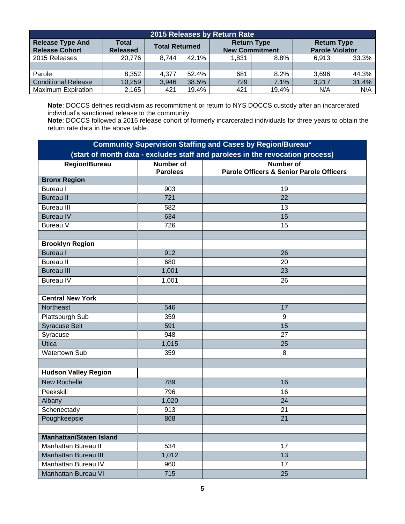| 2015 Releases by Return Rate                     |                          |                       |       |                       |                    |                                              |       |  |
|--------------------------------------------------|--------------------------|-----------------------|-------|-----------------------|--------------------|----------------------------------------------|-------|--|
| <b>Release Type And</b><br><b>Release Cohort</b> | Total<br><b>Released</b> | <b>Total Returned</b> |       | <b>New Commitment</b> | <b>Return Type</b> | <b>Return Type</b><br><b>Parole Violator</b> |       |  |
| 2015 Releases                                    | 20,776                   | 8,744                 | 42.1% | 1.831                 | 8.8%               | 6.913                                        | 33.3% |  |
|                                                  |                          |                       |       |                       |                    |                                              |       |  |
| Parole                                           | 8.352                    | 4.377                 | 52.4% | 681                   | 8.2%               | 3.696                                        | 44.3% |  |
| <b>Conditional Release</b>                       | 10,259                   | 3,946                 | 38.5% | 729                   | 7.1%               | 3,217                                        | 31.4% |  |
| <b>Maximum Expiration</b>                        | 2,165                    | 421                   | 19.4% | 421                   | 19.4%              | N/A                                          | N/A   |  |

**Note**: DOCCS defines recidivism as recommitment or return to NYS DOCCS custody after an incarcerated individual's sanctioned release to the community.

**Note**: DOCCS followed a 2015 release cohort of formerly incarcerated individuals for three years to obtain the return rate data in the above table.

| <b>Community Supervision Staffing and Cases by Region/Bureau*</b> |                                     |                                                                               |  |  |  |  |  |
|-------------------------------------------------------------------|-------------------------------------|-------------------------------------------------------------------------------|--|--|--|--|--|
|                                                                   |                                     | (start of month data - excludes staff and parolees in the revocation process) |  |  |  |  |  |
| <b>Region/Bureau</b>                                              | <b>Number of</b><br><b>Parolees</b> | <b>Number of</b><br><b>Parole Officers &amp; Senior Parole Officers</b>       |  |  |  |  |  |
| <b>Bronx Region</b>                                               |                                     |                                                                               |  |  |  |  |  |
| <b>Bureau</b> I                                                   | 903                                 | 19                                                                            |  |  |  |  |  |
| <b>Bureau II</b>                                                  | $\overline{721}$                    | $\overline{22}$                                                               |  |  |  |  |  |
| <b>Bureau III</b>                                                 | 582                                 | 13                                                                            |  |  |  |  |  |
| <b>Bureau IV</b>                                                  | 634                                 | $\overline{15}$                                                               |  |  |  |  |  |
| Bureau V                                                          | 726                                 | 15                                                                            |  |  |  |  |  |
|                                                                   |                                     |                                                                               |  |  |  |  |  |
| <b>Brooklyn Region</b>                                            |                                     |                                                                               |  |  |  |  |  |
| <b>Bureau I</b>                                                   | 912                                 | 26                                                                            |  |  |  |  |  |
| <b>Bureau II</b>                                                  | 680                                 | 20                                                                            |  |  |  |  |  |
| <b>Bureau III</b>                                                 | 1,001                               | $\overline{23}$                                                               |  |  |  |  |  |
| <b>Bureau IV</b>                                                  | 1,001                               | 26                                                                            |  |  |  |  |  |
|                                                                   |                                     |                                                                               |  |  |  |  |  |
| <b>Central New York</b>                                           |                                     |                                                                               |  |  |  |  |  |
| Northeast                                                         | 546                                 | 17                                                                            |  |  |  |  |  |
| Plattsburgh Sub                                                   | 359                                 | 9                                                                             |  |  |  |  |  |
| <b>Syracuse Belt</b>                                              | 591                                 | 15                                                                            |  |  |  |  |  |
| Syracuse                                                          | 948                                 | 27                                                                            |  |  |  |  |  |
| Utica                                                             | 1,015                               | 25                                                                            |  |  |  |  |  |
| <b>Watertown Sub</b>                                              | 359                                 | 8                                                                             |  |  |  |  |  |
|                                                                   |                                     |                                                                               |  |  |  |  |  |
| <b>Hudson Valley Region</b>                                       |                                     |                                                                               |  |  |  |  |  |
| <b>New Rochelle</b>                                               | 789                                 | 16                                                                            |  |  |  |  |  |
| Peekskill                                                         | 796                                 | 16                                                                            |  |  |  |  |  |
| Albany                                                            | 1,020                               | $\overline{24}$                                                               |  |  |  |  |  |
| Schenectady                                                       | 913                                 | 21                                                                            |  |  |  |  |  |
| Poughkeepsie                                                      | 868                                 | 21                                                                            |  |  |  |  |  |
|                                                                   |                                     |                                                                               |  |  |  |  |  |
| <b>Manhattan/Staten Island</b>                                    |                                     |                                                                               |  |  |  |  |  |
| Manhattan Bureau II                                               | 534                                 | 17                                                                            |  |  |  |  |  |
| <b>Manhattan Bureau III</b>                                       | 1,012                               | 13                                                                            |  |  |  |  |  |
| Manhattan Bureau IV                                               | 960                                 | 17                                                                            |  |  |  |  |  |
| <b>Manhattan Bureau VI</b>                                        | 715                                 | 25                                                                            |  |  |  |  |  |